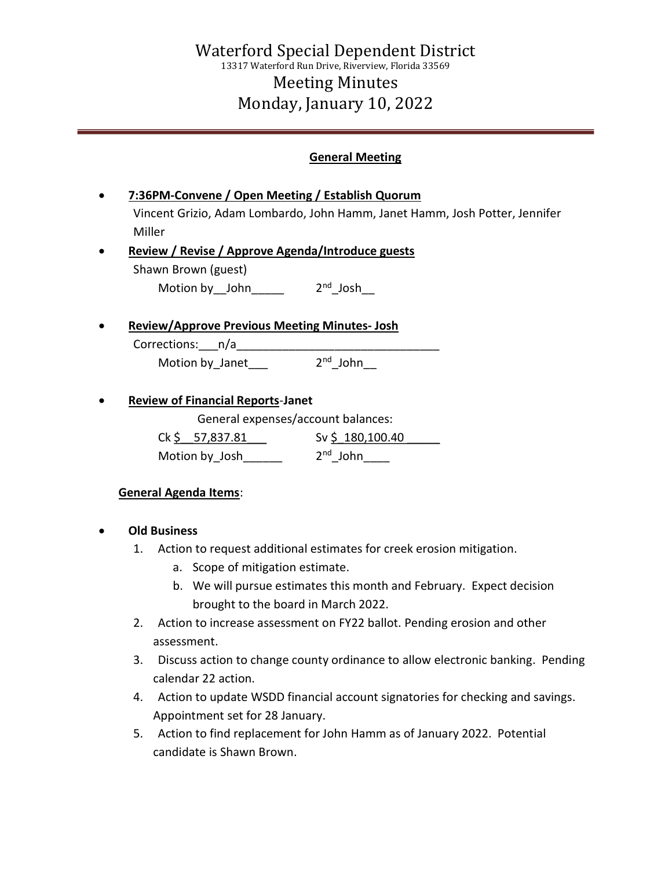## General Meeting

- 7:36PM-Convene / Open Meeting / Establish Quorum Vincent Grizio, Adam Lombardo, John Hamm, Janet Hamm, Josh Potter, Jennifer Miller
- Review / Revise / Approve Agenda/Introduce guests Shawn Brown (guest)

Motion by John  $2<sup>nd</sup>$  Josh

Review/Approve Previous Meeting Minutes- Josh

Corrections:\_\_\_n/a\_\_\_\_ Motion by Janet  $2<sup>nd</sup>$  John

Review of Financial Reports-Janet

General expenses/account balances:

| Ck \$57,837.81 | Sv \$180,100.40      |
|----------------|----------------------|
| Motion by Josh | 2 <sup>nd</sup> John |

## General Agenda Items:

- Old Business
	- 1. Action to request additional estimates for creek erosion mitigation.
		- a. Scope of mitigation estimate.
		- b. We will pursue estimates this month and February. Expect decision brought to the board in March 2022.
	- 2. Action to increase assessment on FY22 ballot. Pending erosion and other assessment.
	- 3. Discuss action to change county ordinance to allow electronic banking. Pending calendar 22 action.
	- 4. Action to update WSDD financial account signatories for checking and savings. Appointment set for 28 January.
	- 5. Action to find replacement for John Hamm as of January 2022. Potential candidate is Shawn Brown.